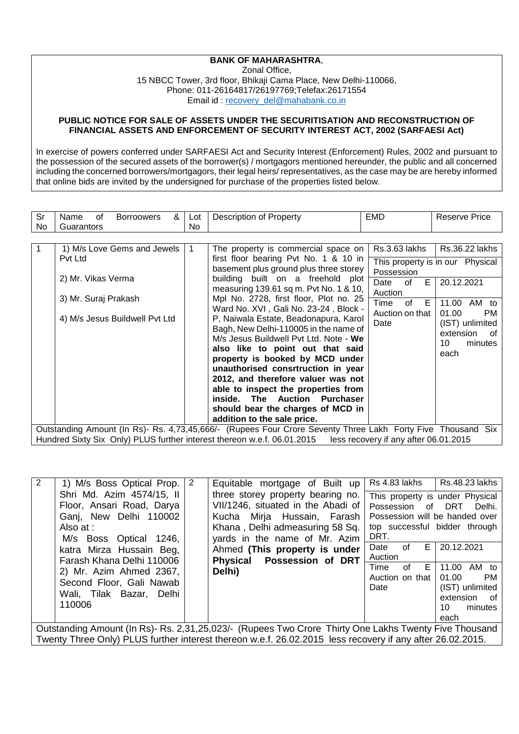#### **BANK OF MAHARASHTRA**,

Zonal Office,

15 NBCC Tower, 3rd floor, Bhikaji Cama Place, New Delhi-110066, Phone: 011-26164817/26197769;Telefax:26171554 Email id : [recovery\\_del@mahabank.co.in](mailto:recovery_del@mahabank.co.in)

#### **PUBLIC NOTICE FOR SALE OF ASSETS UNDER THE SECURITISATION AND RECONSTRUCTION OF FINANCIAL ASSETS AND ENFORCEMENT OF SECURITY INTEREST ACT, 2002 (SARFAESI Act)**

In exercise of powers conferred under SARFAESI Act and Security Interest (Enforcement) Rules, 2002 and pursuant to the possession of the secured assets of the borrower(s) / mortgagors mentioned hereunder, the public and all concerned including the concerned borrowers/mortgagors, their legal heirs/ representatives, as the case may be are hereby informed that online bids are invited by the undersigned for purchase of the properties listed below.

| Sr                                                                                                                                                                                                                           | &<br>Name<br><b>Borroowers</b><br>οf                                                                                                 | Lot | Description of Property                                                                                                                                                                                                                                                                                                                                                        | <b>EMD</b>                                                                                              | Reserve Price                                                                                      |
|------------------------------------------------------------------------------------------------------------------------------------------------------------------------------------------------------------------------------|--------------------------------------------------------------------------------------------------------------------------------------|-----|--------------------------------------------------------------------------------------------------------------------------------------------------------------------------------------------------------------------------------------------------------------------------------------------------------------------------------------------------------------------------------|---------------------------------------------------------------------------------------------------------|----------------------------------------------------------------------------------------------------|
| No.                                                                                                                                                                                                                          | Guarantors<br>1) M/s Love Gems and Jewels<br>Pvt Ltd<br>2) Mr. Vikas Verma<br>3) Mr. Suraj Prakash<br>4) M/s Jesus Buildwell Pvt Ltd | No. | The property is commercial space on<br>first floor bearing Pvt No. 1 & 10 in<br>basement plus ground plus three storey<br>building built on a freehold plot<br>measuring 139.61 sq m. Pvt No. 1 & 10,<br>Mpl No. 2728, first floor, Plot no. 25<br>Ward No. XVI, Gali No. 23-24, Block -<br>P, Naiwala Estate, Beadonapura, Karol                                              | Rs.3.63 lakhs<br>Possession<br>Date<br>E<br>of<br>Auction<br>E<br>Time<br>0f<br>Auction on that<br>Date | Rs.36.22 lakhs<br>This property is in our Physical<br>20.12.2021<br>11.00<br>AM to<br>01.00<br>PM. |
|                                                                                                                                                                                                                              |                                                                                                                                      |     | Bagh, New Delhi-110005 in the name of<br>M/s Jesus Buildwell Pvt Ltd. Note - We<br>also like to point out that said<br>property is booked by MCD under<br>unauthorised consrtruction in year<br>2012, and therefore valuer was not<br>able to inspect the properties from<br>inside. The Auction Purchaser<br>should bear the charges of MCD in<br>addition to the sale price. |                                                                                                         | (IST) unlimited<br>extension<br>0t<br>10<br>minutes<br>each                                        |
| Outstanding Amount (In Rs)- Rs. 4,73,45,666/- (Rupees Four Crore Seventy Three Lakh Forty Five Thousand Six<br>Hundred Sixty Six Only) PLUS further interest thereon w.e.f. 06.01.2015 less recovery if any after 06.01.2015 |                                                                                                                                      |     |                                                                                                                                                                                                                                                                                                                                                                                |                                                                                                         |                                                                                                    |

| 2 | 1) M/s Boss Optical Prop.  <br>Shri Md. Azim 4574/15, II<br>Floor, Ansari Road, Darya<br>Ganj, New Delhi 110002<br>Also at :<br>M/s Boss Optical 1246,<br>katra Mirza Hussain Beg,<br>Farash Khana Delhi 110006<br>2) Mr. Azim Ahmed 2367,<br>Second Floor, Gali Nawab<br>Wali, Tilak Bazar, Delhi<br>110006 | 2 | Equitable mortgage of Built up<br>three storey property bearing no.<br>VII/1246, situated in the Abadi of<br>Kucha Mirja Hussain, Farash<br>Khana, Delhi admeasuring 58 Sq.<br>yards in the name of Mr. Azim<br>Ahmed (This property is under<br>Physical Possession of DRT<br>Delhi) | Rs 4.83 lakhs<br>This property is under Physical<br>Possession of DRT<br>Possession will be handed over<br>top successful bidder through<br>DRT.<br>ΕI<br>of<br>Date<br>Auction<br>$of$ $E$<br>Time<br>Auction on that<br>Date | Rs.48.23 lakhs<br>Delhi.<br>20.12.2021<br>11.00 AM to<br>01.00<br>PM<br>(IST) unlimited<br>extension of<br>10<br>minutes<br>each |  |
|---|--------------------------------------------------------------------------------------------------------------------------------------------------------------------------------------------------------------------------------------------------------------------------------------------------------------|---|---------------------------------------------------------------------------------------------------------------------------------------------------------------------------------------------------------------------------------------------------------------------------------------|--------------------------------------------------------------------------------------------------------------------------------------------------------------------------------------------------------------------------------|----------------------------------------------------------------------------------------------------------------------------------|--|
|   | Outstanding Amount (In Rs)- Rs. 2,31,25,023/- (Rupees Two Crore Thirty One Lakhs Twenty Five Thousand                                                                                                                                                                                                        |   |                                                                                                                                                                                                                                                                                       |                                                                                                                                                                                                                                |                                                                                                                                  |  |

Twenty Three Only) PLUS further interest thereon w.e.f. 26.02.2015 less recovery if any after 26.02.2015.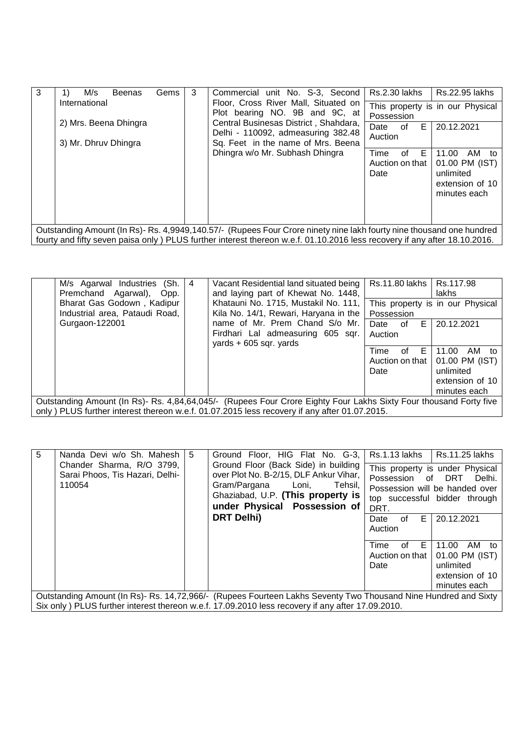| 3                                                                                                                                                                                                                                                 | M/s<br><b>Beenas</b><br>1) | Gems | 3 | Commercial unit No. S-3, Second                                                                                                                                                                                                | Rs.2.30 lakhs                                  | Rs.22.95 lakhs                                                 |  |
|---------------------------------------------------------------------------------------------------------------------------------------------------------------------------------------------------------------------------------------------------|----------------------------|------|---|--------------------------------------------------------------------------------------------------------------------------------------------------------------------------------------------------------------------------------|------------------------------------------------|----------------------------------------------------------------|--|
|                                                                                                                                                                                                                                                   | International              |      |   | Floor, Cross River Mall, Situated on<br>Plot bearing NO. 9B and 9C, at<br>Central Businesas District, Shahdara,<br>Delhi - 110092, admeasuring 382.48<br>Sq. Feet in the name of Mrs. Beena<br>Dhingra w/o Mr. Subhash Dhingra | This property is in our Physical<br>Possession |                                                                |  |
|                                                                                                                                                                                                                                                   | 2) Mrs. Beena Dhingra      |      |   |                                                                                                                                                                                                                                | E<br>Date<br>of<br>Auction                     | 20.12.2021                                                     |  |
|                                                                                                                                                                                                                                                   | 3) Mr. Dhruv Dhingra       |      |   |                                                                                                                                                                                                                                | E<br>Time<br>0f                                | 11.00<br>AM<br>to                                              |  |
|                                                                                                                                                                                                                                                   |                            |      |   |                                                                                                                                                                                                                                | Auction on that<br>Date                        | 01.00 PM (IST)<br>unlimited<br>extension of 10<br>minutes each |  |
| Outstanding Amount (In Rs)- Rs. 4,9949,140.57/- (Rupees Four Crore ninety nine lakh fourty nine thousand one hundred<br>fourty and fifty seven paisa only) PLUS further interest thereon w.e.f. 01.10.2016 less recovery if any after 18.10.2016. |                            |      |   |                                                                                                                                                                                                                                |                                                |                                                                |  |

|                                                                                                                                                                                                                   | (Sh.<br>M/s Agarwal Industries<br>Premchand Agarwal),<br>Opp.<br>Bharat Gas Godown, Kadipur<br>Industrial area, Pataudi Road, | 4 | Vacant Residential land situated being<br>and laying part of Khewat No. 1448,<br>Khatauni No. 1715, Mustakil No. 111,<br>Kila No. 14/1, Rewari, Haryana in the | Rs.11.80 lakhs  <br>Possession          | Rs.117.98<br>lakhs<br>This property is in our Physical                           |  |
|-------------------------------------------------------------------------------------------------------------------------------------------------------------------------------------------------------------------|-------------------------------------------------------------------------------------------------------------------------------|---|----------------------------------------------------------------------------------------------------------------------------------------------------------------|-----------------------------------------|----------------------------------------------------------------------------------|--|
|                                                                                                                                                                                                                   | Gurgaon-122001                                                                                                                |   | name of Mr. Prem Chand S/o Mr.<br>Firdhari Lal admeasuring 605 sqr.<br>yards $+605$ sqr. yards                                                                 | E.<br>of<br>Date<br>Auction             | 20.12.2021                                                                       |  |
|                                                                                                                                                                                                                   |                                                                                                                               |   |                                                                                                                                                                | of E<br>Time<br>Auction on that<br>Date | 11.00<br>AM to<br>01.00 PM (IST)<br>unlimited<br>extension of 10<br>minutes each |  |
| Outstanding Amount (In Rs)- Rs. 4,84,64,045/- (Rupees Four Crore Eighty Four Lakhs Sixty Four thousand Forty five<br>only) PLUS further interest thereon w.e.f. 01.07.2015 less recovery if any after 01.07.2015. |                                                                                                                               |   |                                                                                                                                                                |                                         |                                                                                  |  |

| 5                                                                                                                                                                                                                  | Nanda Devi w/o Sh. Mahesh                                              | 5 | Ground Floor, HIG Flat No. G-3,                                                                                                                                                         | Rs.1.13 lakhs                            | Rs.11.25 lakhs                                                                                               |  |  |
|--------------------------------------------------------------------------------------------------------------------------------------------------------------------------------------------------------------------|------------------------------------------------------------------------|---|-----------------------------------------------------------------------------------------------------------------------------------------------------------------------------------------|------------------------------------------|--------------------------------------------------------------------------------------------------------------|--|--|
|                                                                                                                                                                                                                    | Chander Sharma, R/O 3799,<br>Sarai Phoos, Tis Hazari, Delhi-<br>110054 |   | Ground Floor (Back Side) in building<br>over Plot No. B-2/15, DLF Ankur Vihar,<br>Gram/Pargana<br>Loni,<br>Tehsil,<br>Ghaziabad, U.P. (This property is<br>under Physical Possession of | Possession of DRT<br>DRT.                | This property is under Physical<br>Delhi.<br>Possession will be handed over<br>top successful bidder through |  |  |
|                                                                                                                                                                                                                    |                                                                        |   | <b>DRT Delhi)</b>                                                                                                                                                                       | $E \rightarrow$<br>of<br>Date<br>Auction | 20.12.2021                                                                                                   |  |  |
|                                                                                                                                                                                                                    |                                                                        |   |                                                                                                                                                                                         | of E<br>Time<br>Auction on that<br>Date  | 11.00<br>AM to<br>01.00 PM (IST)<br>unlimited<br>extension of 10<br>minutes each                             |  |  |
| Outstanding Amount (In Rs)- Rs. 14,72,966/- (Rupees Fourteen Lakhs Seventy Two Thousand Nine Hundred and Sixty<br>Six only) PLUS further interest thereon w.e.f. 17.09.2010 less recovery if any after 17.09.2010. |                                                                        |   |                                                                                                                                                                                         |                                          |                                                                                                              |  |  |
|                                                                                                                                                                                                                    |                                                                        |   |                                                                                                                                                                                         |                                          |                                                                                                              |  |  |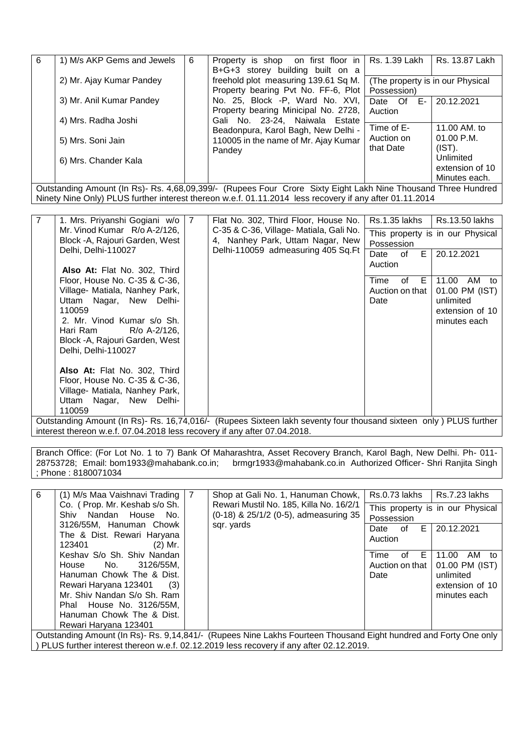| 6 | 1) M/s AKP Gems and Jewels                                                                                                   | 6 | Property is shop on first floor in Rs. 1.39 Lakh |                                  | Rs. 13.87 Lakh  |  |
|---|------------------------------------------------------------------------------------------------------------------------------|---|--------------------------------------------------|----------------------------------|-----------------|--|
|   |                                                                                                                              |   | B+G+3 storey building built on a                 |                                  |                 |  |
|   | 2) Mr. Ajay Kumar Pandey                                                                                                     |   | freehold plot measuring 139.61 Sq M.             | (The property is in our Physical |                 |  |
|   |                                                                                                                              |   | Property bearing Pvt No. FF-6, Plot              | Possession)                      |                 |  |
|   | 3) Mr. Anil Kumar Pandey                                                                                                     |   | No. 25, Block -P, Ward No. XVI,                  | Е.<br>Date Of                    | 20.12.2021      |  |
|   |                                                                                                                              |   | Property bearing Minicipal No. 2728,             | Auction                          |                 |  |
|   | 4) Mrs. Radha Joshi                                                                                                          |   | Gali No. 23-24, Naiwala Estate                   |                                  |                 |  |
|   |                                                                                                                              |   | Beadonpura, Karol Bagh, New Delhi -              | Time of E-                       | 11.00 AM, to    |  |
|   | 5) Mrs. Soni Jain                                                                                                            |   | 110005 in the name of Mr. Ajay Kumar             | Auction on                       | $01.00$ P.M.    |  |
|   |                                                                                                                              |   | Pandey                                           | that Date                        | $(IST)$ .       |  |
|   | 6) Mrs. Chander Kala                                                                                                         |   |                                                  |                                  | Unlimited       |  |
|   |                                                                                                                              |   |                                                  |                                  | extension of 10 |  |
|   |                                                                                                                              |   |                                                  |                                  | Minutes each.   |  |
|   | Dungeo Four, Cross, Civile Fight Lolb Nine Thousand Throp Hundred<br>$Q$ utotonding Amount (In $D_0$ ), $D_0$ , 4.69.00.2001 |   |                                                  |                                  |                 |  |

Outstanding Amount (In Rs)- Rs. 4,68,09,399/- (Rupees Four Crore Sixty Eight Lakh Nine Thousand Three Hundred Ninety Nine Only) PLUS further interest thereon w.e.f. 01.11.2014 less recovery if any after 01.11.2014

| $\overline{7}$ | 1. Mrs. Priyanshi Gogiani w/o                                                                                                                                                                                           | 7 | Flat No. 302, Third Floor, House No.                                        | Rs.1.35 lakhs                                  | Rs.13.50 lakhs                                                                   |            |
|----------------|-------------------------------------------------------------------------------------------------------------------------------------------------------------------------------------------------------------------------|---|-----------------------------------------------------------------------------|------------------------------------------------|----------------------------------------------------------------------------------|------------|
|                | Mr. Vinod Kumar R/o A-2/126,<br>Block -A, Rajouri Garden, West                                                                                                                                                          |   | C-35 & C-36, Village- Matiala, Gali No.<br>4, Nanhey Park, Uttam Nagar, New | This property is in our Physical<br>Possession |                                                                                  |            |
|                | Delhi, Delhi-110027<br>Also At: Flat No. 302, Third                                                                                                                                                                     |   |                                                                             | Delhi-110059 admeasuring 405 Sq.Ft             | E.<br>of<br>Date<br>Auction                                                      | 20.12.2021 |
|                | Floor, House No. C-35 & C-36,<br>Village- Matiala, Nanhey Park,<br>Uttam Nagar, New Delhi-<br>110059<br>2. Mr. Vinod Kumar s/o Sh.<br>Hari Ram $R/O$ A-2/126,<br>Block - A, Rajouri Garden, West<br>Delhi, Delhi-110027 |   |                                                                             | - E<br>Time<br>of<br>Auction on that<br>Date   | 11.00<br>AM to<br>01.00 PM (IST)<br>unlimited<br>extension of 10<br>minutes each |            |
|                | Also At: Flat No. 302, Third<br>Floor, House No. C-35 & C-36,<br>Village- Matiala, Nanhey Park,                                                                                                                         |   |                                                                             |                                                |                                                                                  |            |
|                | Uttam Nagar, New Delhi-<br>110059                                                                                                                                                                                       |   | - -                                                                         |                                                |                                                                                  |            |

Outstanding Amount (In Rs)- Rs. 16,74,016/- (Rupees Sixteen lakh seventy four thousand sixteen only ) PLUS further interest thereon w.e.f. 07.04.2018 less recovery if any after 07.04.2018.

Branch Office: (For Lot No. 1 to 7) Bank Of Maharashtra, Asset Recovery Branch, Karol Bagh, New Delhi. Ph- 011- 28753728; Email: bom1933@mahabank.co.in; brmgr1933@mahabank.co.in Authorized Officer- Shri Ranjita Singh ; Phone : 8180071034

| $6\phantom{1}$                                                                                                                                                                                             | (1) M/s Maa Vaishnavi Trading                                                           | 7 | Shop at Gali No. 1, Hanuman Chowk,                                                             | Rs.0.73 lakhs                                  | Rs.7.23 lakhs                                    |
|------------------------------------------------------------------------------------------------------------------------------------------------------------------------------------------------------------|-----------------------------------------------------------------------------------------|---|------------------------------------------------------------------------------------------------|------------------------------------------------|--------------------------------------------------|
|                                                                                                                                                                                                            | Co. (Prop. Mr. Keshab s/o Sh.<br>Shiv Nandan House<br>No.                               |   | Rewari Mustil No. 185, Killa No. 16/2/1<br>(0-18) & 25/1/2 (0-5), admeasuring 35<br>sqr. yards | This property is in our Physical<br>Possession |                                                  |
|                                                                                                                                                                                                            | 3126/55M, Hanuman Chowk<br>The & Dist. Rewari Haryana<br>$(2)$ Mr.                      |   |                                                                                                | E.<br>of<br>Date<br>Auction                    | 20.12.2021                                       |
|                                                                                                                                                                                                            | Keshay S/o Sh. Shiy Nandan<br>3126/55M.<br>House No.<br>Hanuman Chowk The & Dist.       |   |                                                                                                | E<br>Time<br>Ωf<br>Auction on that<br>Date     | 11.00<br>AM<br>to<br>01.00 PM (IST)<br>unlimited |
|                                                                                                                                                                                                            | Rewari Haryana 123401<br>(3)<br>Mr. Shiv Nandan S/o Sh. Ram<br>Phal House No. 3126/55M. |   |                                                                                                |                                                | extension of 10<br>minutes each                  |
|                                                                                                                                                                                                            | Hanuman Chowk The & Dist.<br>Rewari Haryana 123401                                      |   |                                                                                                |                                                |                                                  |
| Outstanding Amount (In Rs)- Rs. 9,14,841/- (Rupees Nine Lakhs Fourteen Thousand Eight hundred and Forty One only<br>PLUS further interest thereon w.e.f. 02.12.2019 less recovery if any after 02.12.2019. |                                                                                         |   |                                                                                                |                                                |                                                  |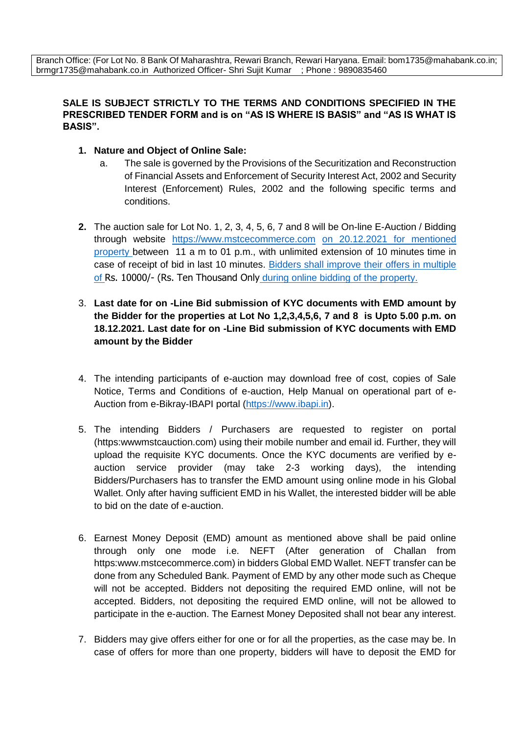Branch Office: (For Lot No. 8 Bank Of Maharashtra, Rewari Branch, Rewari Haryana. Email: bom1735@mahabank.co.in; brmgr1735@mahabank.co.in Authorized Officer- Shri Sujit Kumar ; Phone : 9890835460

# SALE IS SUBJECT STRICTLY TO THE TERMS AND CONDITIONS SPECIFIED IN THE **PRESCRIBED TENDER FORM and is on "AS IS WHERE IS BASIS" and "AS IS WHAT IS BASIS".**

## **1. Nature and Object of Online Sale:**

- a. The sale is governed by the Provisions of the Securitization and Reconstruction of Financial Assets and Enforcement of Security Interest Act, 2002 and Security Interest (Enforcement) Rules, 2002 and the following specific terms and conditions.
- **2.** The auction sale for Lot No. 1, 2, 3, 4, 5, 6, 7 and 8 will be On-line E-Auction / Bidding through website [https://www.mstcecommerce.com](https://www.mstcecommerce.com/) on 20.12.2021 for mentioned property between 11 a m to 01 p.m., with unlimited extension of 10 minutes time in case of receipt of bid in last 10 minutes. Bidders shall improve their offers in multiple of Rs. 10000/- (Rs. Ten Thousand Only during online bidding of the property.
- 3. **Last date for on -Line Bid submission of KYC documents with EMD amount by the Bidder for the properties at Lot No 1,2,3,4,5,6, 7 and 8 is Upto 5.00 p.m. on 18.12.2021. Last date for on -Line Bid submission of KYC documents with EMD amount by the Bidder**
- 4. The intending participants of e-auction may download free of cost, copies of Sale Notice, Terms and Conditions of e-auction, Help Manual on operational part of e-Auction from e-Bikray-IBAPI portal [\(https://www.ibapi.in\)](https://www.ibapi.in/).
- 5. The intending Bidders / Purchasers are requested to register on portal (https:wwwmstcauction.com) using their mobile number and email id. Further, they will upload the requisite KYC documents. Once the KYC documents are verified by eauction service provider (may take 2-3 working days), the intending Bidders/Purchasers has to transfer the EMD amount using online mode in his Global Wallet. Only after having sufficient EMD in his Wallet, the interested bidder will be able to bid on the date of e-auction.
- 6. Earnest Money Deposit (EMD) amount as mentioned above shall be paid online through only one mode i.e. NEFT (After generation of Challan from https:www.mstcecommerce.com) in bidders Global EMD Wallet. NEFT transfer can be done from any Scheduled Bank. Payment of EMD by any other mode such as Cheque will not be accepted. Bidders not depositing the required EMD online, will not be accepted. Bidders, not depositing the required EMD online, will not be allowed to participate in the e-auction. The Earnest Money Deposited shall not bear any interest.
- 7. Bidders may give offers either for one or for all the properties, as the case may be. In case of offers for more than one property, bidders will have to deposit the EMD for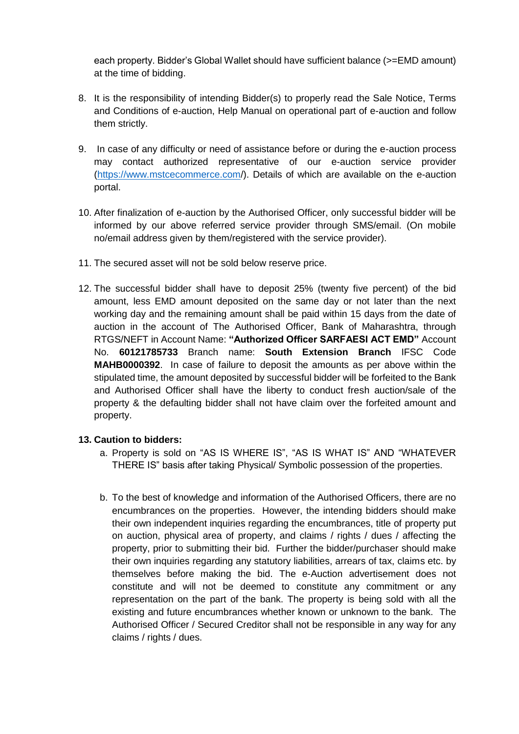each property. Bidder's Global Wallet should have sufficient balance (>=EMD amount) at the time of bidding.

- 8. It is the responsibility of intending Bidder(s) to properly read the Sale Notice, Terms and Conditions of e-auction, Help Manual on operational part of e-auction and follow them strictly.
- 9. In case of any difficulty or need of assistance before or during the e-auction process may contact authorized representative of our e-auction service provider [\(https://www.mstcecommerce.com/](https://www.mstcecommerce.com/)). Details of which are available on the e-auction portal.
- 10. After finalization of e-auction by the Authorised Officer, only successful bidder will be informed by our above referred service provider through SMS/email. (On mobile no/email address given by them/registered with the service provider).
- 11. The secured asset will not be sold below reserve price.
- 12. The successful bidder shall have to deposit 25% (twenty five percent) of the bid amount, less EMD amount deposited on the same day or not later than the next working day and the remaining amount shall be paid within 15 days from the date of auction in the account of The Authorised Officer, Bank of Maharashtra, through RTGS/NEFT in Account Name: **"Authorized Officer SARFAESI ACT EMD"** Account No. **60121785733** Branch name: **South Extension Branch** IFSC Code **MAHB0000392**. In case of failure to deposit the amounts as per above within the stipulated time, the amount deposited by successful bidder will be forfeited to the Bank and Authorised Officer shall have the liberty to conduct fresh auction/sale of the property & the defaulting bidder shall not have claim over the forfeited amount and property.

### **13. Caution to bidders:**

- a. Property is sold on "AS IS WHERE IS", "AS IS WHAT IS" AND "WHATEVER THERE IS" basis after taking Physical/ Symbolic possession of the properties.
- b. To the best of knowledge and information of the Authorised Officers, there are no encumbrances on the properties. However, the intending bidders should make their own independent inquiries regarding the encumbrances, title of property put on auction, physical area of property, and claims / rights / dues / affecting the property, prior to submitting their bid. Further the bidder/purchaser should make their own inquiries regarding any statutory liabilities, arrears of tax, claims etc. by themselves before making the bid. The e-Auction advertisement does not constitute and will not be deemed to constitute any commitment or any representation on the part of the bank. The property is being sold with all the existing and future encumbrances whether known or unknown to the bank. The Authorised Officer / Secured Creditor shall not be responsible in any way for any claims / rights / dues.